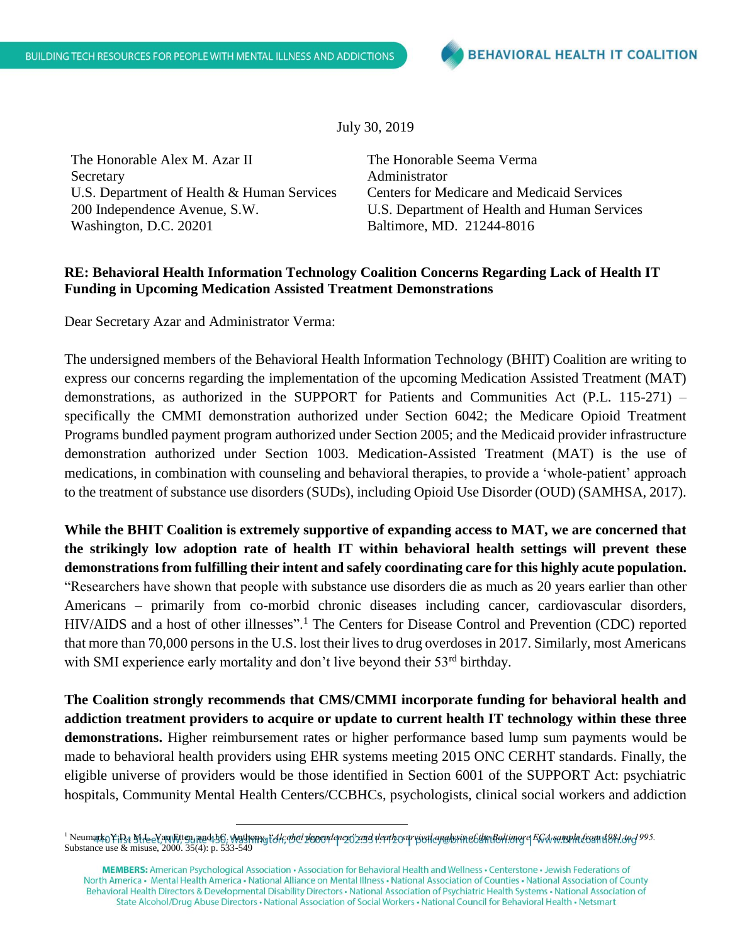July 30, 2019

The Honorable Alex M. Azar II Secretary U.S. Department of Health & Human Services 200 Independence Avenue, S.W. Washington, D.C. 20201

The Honorable Seema Verma Administrator Centers for Medicare and Medicaid Services U.S. Department of Health and Human Services Baltimore, MD. 21244-8016

## **RE: Behavioral Health Information Technology Coalition Concerns Regarding Lack of Health IT Funding in Upcoming Medication Assisted Treatment Demonstrations**

Dear Secretary Azar and Administrator Verma:

The undersigned members of the Behavioral Health Information Technology (BHIT) Coalition are writing to express our concerns regarding the implementation of the upcoming Medication Assisted Treatment (MAT) demonstrations, as authorized in the SUPPORT for Patients and Communities Act (P.L. 115-271) – specifically the CMMI demonstration authorized under Section 6042; the Medicare Opioid Treatment Programs bundled payment program authorized under Section 2005; and the Medicaid provider infrastructure demonstration authorized under Section 1003. Medication-Assisted Treatment (MAT) is the use of medications, in combination with counseling and behavioral therapies, to provide a 'whole-patient' approach to the treatment of substance use disorders (SUDs), including Opioid Use Disorder (OUD) (SAMHSA, 2017).

**While the BHIT Coalition is extremely supportive of expanding access to MAT, we are concerned that the strikingly low adoption rate of health IT within behavioral health settings will prevent these demonstrations from fulfilling their intent and safely coordinating care for this highly acute population.** "Researchers have shown that people with substance use disorders die as much as 20 years earlier than other Americans – primarily from co-morbid chronic diseases including cancer, cardiovascular disorders, HIV/AIDS and a host of other illnesses".<sup>1</sup> The Centers for Disease Control and Prevention (CDC) reported that more than 70,000 persons in the U.S. lost their lives to drug overdoses in 2017. Similarly, most Americans with SMI experience early mortality and don't live beyond their 53rd birthday.

**The Coalition strongly recommends that CMS/CMMI incorporate funding for behavioral health and addiction treatment providers to acquire or update to current health IT technology within these three demonstrations.** Higher reimbursement rates or higher performance based lump sum payments would be made to behavioral health providers using EHR systems meeting 2015 ONC CERHT standards. Finally, the eligible universe of providers would be those identified in Section 6001 of the SUPPORT Act: psychiatric hospitals, Community Mental Health Centers/CCBHCs, psychologists, clinical social workers and addiction

 $\overline{a}$ 

MEMBERS: American Psychological Association · Association for Behavioral Health and Wellness · Centerstone · Jewish Federations of North America • Mental Health America • National Alliance on Mental Illness • National Association of Counties • National Association of County Behavioral Health Directors & Developmental Disability Directors · National Association of Psychiatric Health Systems · National Association of State Alcohol/Drug Abuse Directors • National Association of Social Workers • National Council for Behavioral Health • Netsmart

<sup>1</sup> Neumark, Y.D., M.L. Van Etten, and J.C. Anthony, "*Alcohol dependence" and death: survival analysis of the Baltimore ECA sample from 1981 to 1995.*  Substance use & misuse, 2000. 35(4): p. 533-549